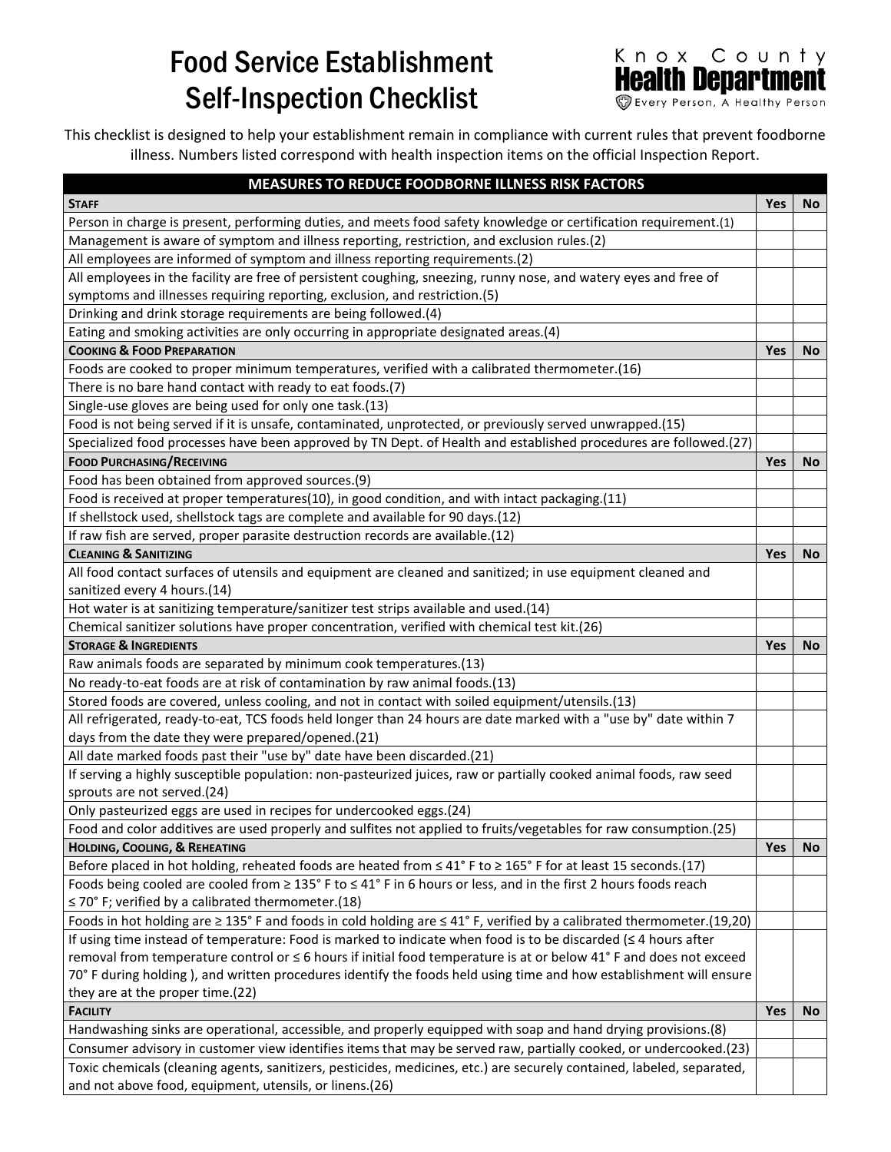## Food Service Establishment Self-Inspection Checklist



This checklist is designed to help your establishment remain in compliance with current rules that prevent foodborne illness. Numbers listed correspond with health inspection items on the official Inspection Report.

| MEASURES TO REDUCE FOODBORNE ILLNESS RISK FACTORS                                                                                       |            |           |
|-----------------------------------------------------------------------------------------------------------------------------------------|------------|-----------|
| <b>STAFF</b>                                                                                                                            | <b>Yes</b> | No.       |
| Person in charge is present, performing duties, and meets food safety knowledge or certification requirement.(1)                        |            |           |
| Management is aware of symptom and illness reporting, restriction, and exclusion rules.(2)                                              |            |           |
| All employees are informed of symptom and illness reporting requirements.(2)                                                            |            |           |
| All employees in the facility are free of persistent coughing, sneezing, runny nose, and watery eyes and free of                        |            |           |
| symptoms and illnesses requiring reporting, exclusion, and restriction.(5)                                                              |            |           |
| Drinking and drink storage requirements are being followed.(4)                                                                          |            |           |
| Eating and smoking activities are only occurring in appropriate designated areas.(4)                                                    |            |           |
| <b>COOKING &amp; FOOD PREPARATION</b>                                                                                                   | <b>Yes</b> | <b>No</b> |
| Foods are cooked to proper minimum temperatures, verified with a calibrated thermometer.(16)                                            |            |           |
| There is no bare hand contact with ready to eat foods.(7)                                                                               |            |           |
| Single-use gloves are being used for only one task.(13)                                                                                 |            |           |
| Food is not being served if it is unsafe, contaminated, unprotected, or previously served unwrapped.(15)                                |            |           |
| Specialized food processes have been approved by TN Dept. of Health and established procedures are followed.(27)                        |            |           |
| <b>FOOD PURCHASING/RECEIVING</b>                                                                                                        | <b>Yes</b> | <b>No</b> |
| Food has been obtained from approved sources.(9)                                                                                        |            |           |
| Food is received at proper temperatures(10), in good condition, and with intact packaging.(11)                                          |            |           |
| If shellstock used, shellstock tags are complete and available for 90 days.(12)                                                         |            |           |
| If raw fish are served, proper parasite destruction records are available.(12)                                                          |            |           |
| <b>CLEANING &amp; SANITIZING</b>                                                                                                        | <b>Yes</b> | <b>No</b> |
| All food contact surfaces of utensils and equipment are cleaned and sanitized; in use equipment cleaned and                             |            |           |
| sanitized every 4 hours.(14)                                                                                                            |            |           |
| Hot water is at sanitizing temperature/sanitizer test strips available and used.(14)                                                    |            |           |
| Chemical sanitizer solutions have proper concentration, verified with chemical test kit.(26)                                            |            |           |
| <b>STORAGE &amp; INGREDIENTS</b>                                                                                                        | <b>Yes</b> | <b>No</b> |
| Raw animals foods are separated by minimum cook temperatures.(13)                                                                       |            |           |
| No ready-to-eat foods are at risk of contamination by raw animal foods.(13)                                                             |            |           |
| Stored foods are covered, unless cooling, and not in contact with soiled equipment/utensils.(13)                                        |            |           |
| All refrigerated, ready-to-eat, TCS foods held longer than 24 hours are date marked with a "use by" date within 7                       |            |           |
| days from the date they were prepared/opened.(21)                                                                                       |            |           |
| All date marked foods past their "use by" date have been discarded.(21)                                                                 |            |           |
| If serving a highly susceptible population: non-pasteurized juices, raw or partially cooked animal foods, raw seed                      |            |           |
| sprouts are not served.(24)                                                                                                             |            |           |
| Only pasteurized eggs are used in recipes for undercooked eggs.(24)                                                                     |            |           |
| Food and color additives are used properly and sulfites not applied to fruits/vegetables for raw consumption.(25)                       |            |           |
| HOLDING, COOLING, & REHEATING                                                                                                           | <b>Yes</b> | <b>No</b> |
| Before placed in hot holding, reheated foods are heated from ≤ 41° F to ≥ 165° F for at least 15 seconds.(17)                           |            |           |
| Foods being cooled are cooled from $\geq 135^{\circ}$ F to $\leq 41^{\circ}$ F in 6 hours or less, and in the first 2 hours foods reach |            |           |
| $\leq$ 70° F; verified by a calibrated thermometer.(18)                                                                                 |            |           |
| Foods in hot holding are $\geq$ 135° F and foods in cold holding are $\leq$ 41° F, verified by a calibrated thermometer.(19,20)         |            |           |
| If using time instead of temperature: Food is marked to indicate when food is to be discarded $( \leq 4$ hours after                    |            |           |
| removal from temperature control or ≤ 6 hours if initial food temperature is at or below 41° F and does not exceed                      |            |           |
| 70° F during holding), and written procedures identify the foods held using time and how establishment will ensure                      |            |           |
| they are at the proper time.(22)                                                                                                        |            |           |
| <b>FACILITY</b>                                                                                                                         | <b>Yes</b> | <b>No</b> |
| Handwashing sinks are operational, accessible, and properly equipped with soap and hand drying provisions.(8)                           |            |           |
| Consumer advisory in customer view identifies items that may be served raw, partially cooked, or undercooked.(23)                       |            |           |
| Toxic chemicals (cleaning agents, sanitizers, pesticides, medicines, etc.) are securely contained, labeled, separated,                  |            |           |
| and not above food, equipment, utensils, or linens.(26)                                                                                 |            |           |